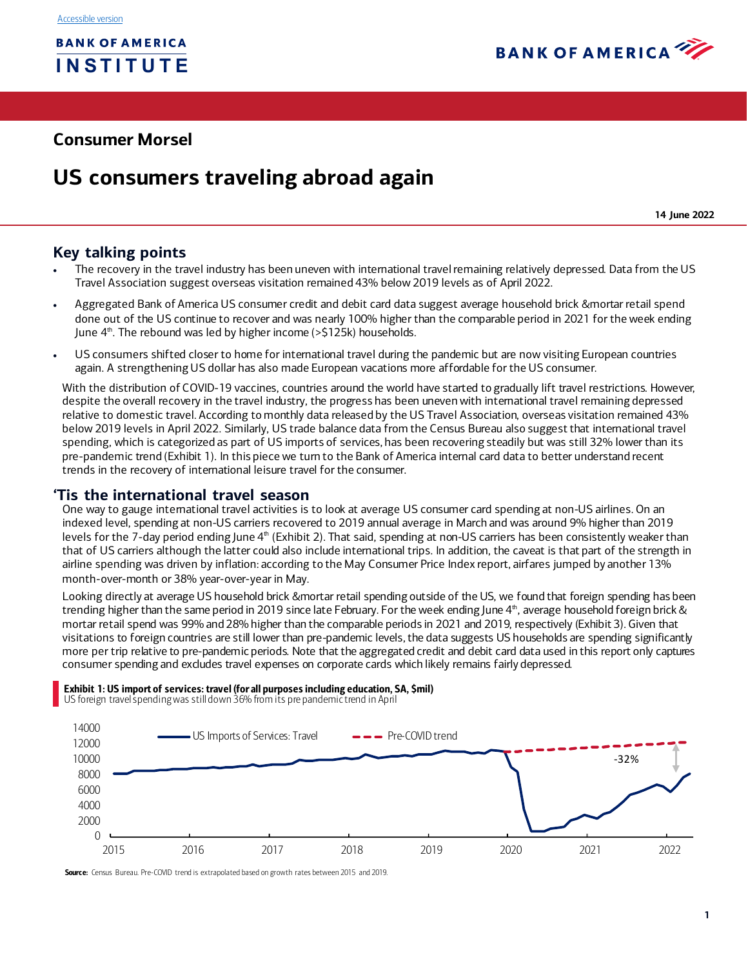

## **Consumer Morsel**

# **US consumers traveling abroad again**

**14 June 2022**

## **Key talking points**

- The recovery in the travel industry has been uneven with international travel remaining relatively depressed. Data from the US Travel Association suggest overseas visitation remained 43% below 2019 levels as of April 2022.
- Aggregated Bank of America US consumer credit and debit card data suggest average household brick &mortar retail spend done out of the US continue to recover and was nearly 100% higher than the comparable period in 2021 for the week ending June  $4<sup>th</sup>$ . The rebound was led by higher income ( $>5125k$ ) households.
- US consumers shifted closer to home for international travel during the pandemic but are now visiting European countries again. A strengthening US dollar has also made European vacations more affordable for the US consumer.

With the distribution of COVID-19 vaccines, countries around the world have started to gradually lift travel restrictions. However, despite the overall recovery in the travel industry, the progress has been uneven with international travel remaining depressed relative to domestic travel. According to monthly data released by the US Travel Association, overseas visitation remained 43% below 2019 levels in April 2022. Similarly, US trade balance data from the Census Bureau also suggest that international travel spending, which is categorized as part of US imports of services, has been recovering steadily but was still 32% lower than its pre-pandemic trend [\(Exhibit 1](#page-0-0)). In this piece we turn to the Bank of America internal card data to better understand recent trends in the recovery of international leisure travel for the consumer.

## **'Tis the international travel season**

One way to gauge international travel activities is to look at average US consumer card spending at non-US airlines. On an indexed level, spending at non-US carriers recovered to 2019 annual average in March and was around 9% higher than 2019 levels for the 7-day period ending June 4<sup>th</sup> [\(Exhibit 2](#page-1-0)). That said, spending at non-US carriers has been consistently weaker than that of US carriers although the latter could also include international trips. In addition, the caveat is that part of the strength in airline spending was driven by inflation: according to the May Consumer Price Index report, airfares jumped by another 13% month-over-month or 38% year-over-year in May.

Looking directly at average US household brick &mortar retail spending outside of the US, we found that foreign spending has been trending higher than the same period in 2019 since late February. For the week ending June 4th, average household foreign brick & mortar retail spend was 99% and 28% higher than the comparable periods in 2021 and 2019, respectivel[y \(Exhibit 3](#page-1-1)). Given that visitations to foreign countries are still lower than pre-pandemic levels, the data suggests US households are spending significantly more per trip relative to pre-pandemic periods. Note that the aggregated credit and debit card data used in this report only captures consumer spending and excludes travel expenses on corporate cards which likely remains fairly depressed.

## <span id="page-0-0"></span>Exhibit 1: US import of services: travel (for all purposes including education, SA, \$mil) US foreign travel spending was still down 36% from its pre pandemic trend in April



Source: Census Bureau. Pre-COVID trend is extrapolated based on growth rates between 2015 and 2019.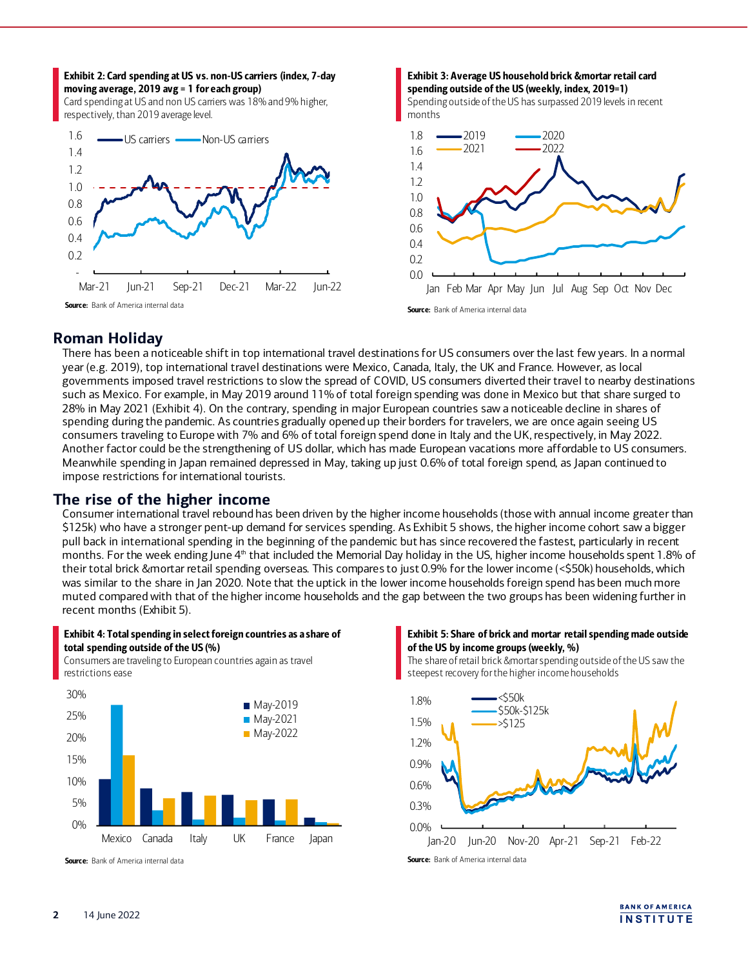<span id="page-1-1"></span><span id="page-1-0"></span>

## **Roman Holiday**

There has been a noticeable shift in top international travel destinations for US consumers over the last few years. In a normal year (e.g. 2019), top international travel destinations were Mexico, Canada, Italy, the UK and France. However, as local governments imposed travel restrictions to slow the spread of COVID, US consumers diverted their travel to nearby destinations such as Mexico. For example, in May 2019 around 11% of total foreign spending was done in Mexico but that share surged to 28% in May 2021 [\(Exhibit 4\)](#page-1-2). On the contrary, spending in major European countries saw a noticeable decline in shares of spending during the pandemic. As countries gradually opened up their borders for travelers, we are once again seeing US consumers traveling to Europe with 7% and 6% of total foreign spend done in Italy and the UK, respectively, in May 2022. Another factor could be the strengthening of US dollar, which has made European vacations more affordable to US consumers. Meanwhile spending in Japan remained depressed in May, taking up just 0.6% of total foreign spend, as Japan continued to impose restrictions for international tourists.

## **The rise of the higher income**

Consumer international travel rebound has been driven by the higher income households (those with annual income greater than \$125k) who have a stronger pent-up demand for services spending. A[s Exhibit 5](#page-1-3) shows, the higher income cohort saw a bigger pull back in international spending in the beginning of the pandemic but has since recovered the fastest, particularly in recent months. For the week ending June 4<sup>th</sup> that included the Memorial Day holiday in the US, higher income households spent 1.8% of their total brick &mortar retail spending overseas. This compares to just 0.9% for the lower income (<\$50k) households, which was similar to the share in Jan 2020. Note that the uptick in the lower income households foreign spend has been much more muted compared with that of the higher income households and the gap between the two groups has been widening further in recent months [\(Exhibit 5\)](#page-1-3).

#### <span id="page-1-2"></span>Exhibit 4: Total spending in select foreign countries as a share of total spending outside of the US (%)

Consumers are traveling to European countries again as travel



Source: Bank of America internal data

#### <span id="page-1-3"></span>Exhibit 5: Share of brick and mortar retail spending made outside of the US by income groups (weekly, %)

The share of retail brick &mortar spending outside of the US saw the steepest recovery for the higher income households



Source: Bank of America internal data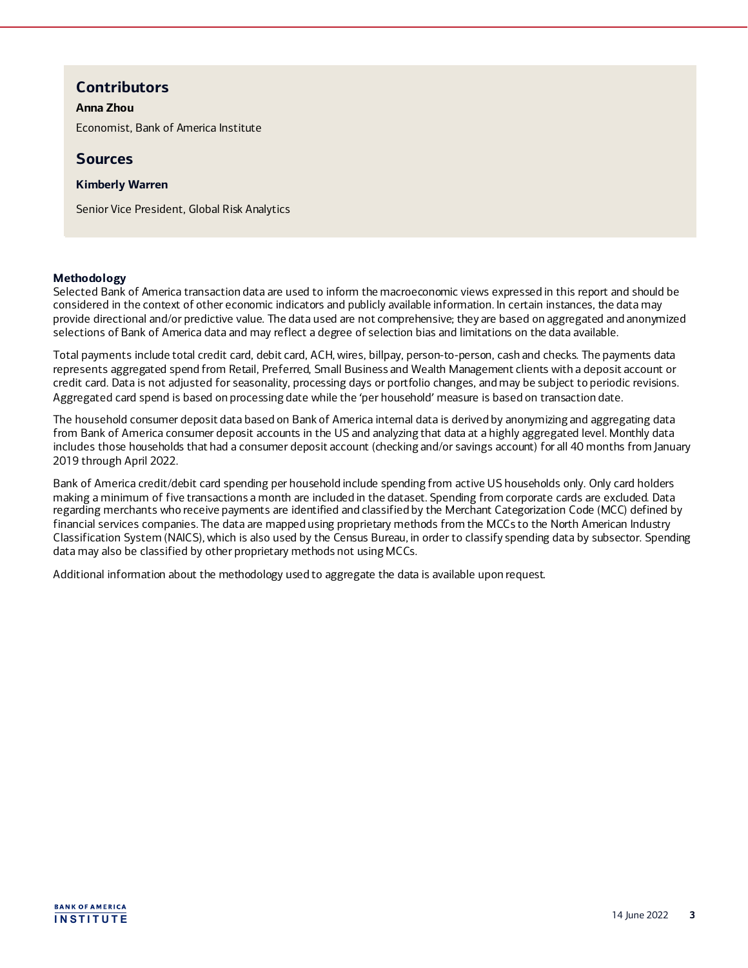## **Contributors**

#### **Anna Zhou**

Economist, Bank of America Institute

### **Sources**

#### **Kimberly Warren**

Senior Vice President, Global Risk Analytics

#### **Methodology**

Selected Bank of America transaction data are used to inform the macroeconomic views expressed in this report and should be considered in the context of other economic indicators and publicly available information. In certain instances, the data may provide directional and/or predictive value. The data used are not comprehensive; they are based on aggregated and anonymized selections of Bank of America data and may reflect a degree of selection bias and limitations on the data available.

Total payments include total credit card, debit card, ACH, wires, billpay, person-to-person, cash and checks. The payments data represents aggregated spend from Retail, Preferred, Small Business and Wealth Management clients with a deposit account or credit card. Data is not adjusted for seasonality, processing days or portfolio changes, and may be subject to periodic revisions. Aggregated card spend is based on processing date while the 'per household' measure is based on transaction date.

The household consumer deposit data based on Bank of America internal data is derived by anonymizing and aggregating data from Bank of America consumer deposit accounts in the US and analyzing that data at a highly aggregated level. Monthly data includes those households that had a consumer deposit account (checking and/or savings account) for all 40 months from January 2019 through April 2022.

Bank of America credit/debit card spending per household include spending from active US households only. Only card holders making a minimum of five transactions a month are included in the dataset. Spending from corporate cards are excluded. Data regarding merchants who receive payments are identified and classified by the Merchant Categorization Code (MCC) defined by financial services companies. The data are mapped using proprietary methods from the MCCs to the North American Industry Classification System (NAICS), which is also used by the Census Bureau, in order to classify spending data by subsector. Spending data may also be classified by other proprietary methods not using MCCs.

Additional information about the methodology used to aggregate the data is available upon request.